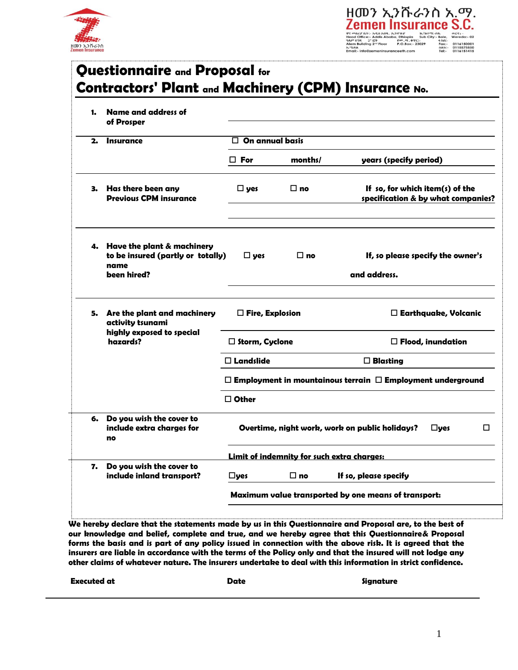

## ዘመን ኢንሹራንስ አ.ማ.<br>Zemen Insurance S.C. .<br>(A, a/A; -<br>:- Bole, Wereda:- 02 Bole, Wereda:- 02<br>
4-hh:- 0116150001<br>
Fax:- 0116150001<br>
10115575850<br>
Tel:- 0116151415 .<br>Floor Pap.14<br>P.O.Bo

|    | <b>Questionnaire and Proposal for</b><br>Contractors' Plant and Machinery (CPM) Insurance No. |                                                                        |                                                      |                                    |                                    |  |  |
|----|-----------------------------------------------------------------------------------------------|------------------------------------------------------------------------|------------------------------------------------------|------------------------------------|------------------------------------|--|--|
| 1. | Name and address of<br>of Prosper                                                             |                                                                        |                                                      |                                    |                                    |  |  |
| 2. | <b>Insurance</b>                                                                              | $\Box$ On annual basis                                                 |                                                      |                                    |                                    |  |  |
|    |                                                                                               | $\square$ For                                                          | months/                                              | years (specify period)             |                                    |  |  |
| 3. | Has there been any<br><b>Previous CPM insurance</b>                                           | $\square$ yes                                                          | $\square$ no                                         | If so, for which item $(s)$ of the | specification & by what companies? |  |  |
|    | 4. Have the plant $\&$ machinery<br>to be insured (partly or totally)<br>name<br>been hired?  | $\square$ yes                                                          | $\square$ no                                         | and address.                       | If, so please specify the owner's  |  |  |
| 5. | Are the plant and machinery<br>activity tsunami<br>highly exposed to special<br>hazards?      | $\Box$ Fire, Explosion                                                 |                                                      |                                    | $\Box$ Earthquake, Volcanic        |  |  |
|    |                                                                                               | $\Box$ Storm, Cyclone                                                  |                                                      |                                    | $\Box$ Flood, inundation           |  |  |
|    |                                                                                               | $\Box$ Landslide                                                       |                                                      | $\square$ Blasting                 |                                    |  |  |
|    |                                                                                               | $\Box$ Employment in mountainous terrain $\Box$ Employment underground |                                                      |                                    |                                    |  |  |
|    |                                                                                               | $\Box$ Other                                                           |                                                      |                                    |                                    |  |  |
|    | 6. Do you wish the cover to<br>include extra charges for                                      | Overtime, night work, work on public holidays?<br>◻<br>$\square$ ves   |                                                      |                                    |                                    |  |  |
|    |                                                                                               | Limit of indemnity for such extra charges:                             |                                                      |                                    |                                    |  |  |
| 7. | Do you wish the cover to<br>include inland transport?                                         | $\square$ yes                                                          | $\square$ no                                         | If so, please specify              |                                    |  |  |
|    |                                                                                               |                                                                        | Maximum value transported by one means of transport: |                                    |                                    |  |  |
|    |                                                                                               |                                                                        |                                                      |                                    |                                    |  |  |

**We hereby declare that the statements made by us in this Questionnaire and Proposal are, to the best of our knowledge and belief, complete and true, and we hereby agree that this Questionnaire& Proposal forms the basis and is part of any policy issued in connection with the above risk. It is agreed that the insurers are liable in accordance with the terms of the Policy only and that the insured will not lodge any other claims of whatever nature. The insurers undertake to deal with this information in strict confidence.**

| <b>Executed at</b> | Date | Signature |
|--------------------|------|-----------|
|                    |      |           |